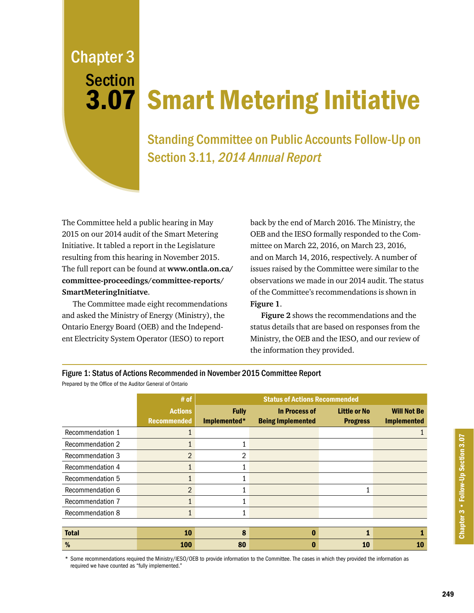Chapter 3 Section 3.07

## Smart Metering Initiative

Standing Committee on Public Accounts Follow-Up on Section 3.11, 2014 Annual Report

The Committee held a public hearing in May 2015 on our 2014 audit of the Smart Metering Initiative. It tabled a report in the Legislature resulting from this hearing in November 2015. The full report can be found at **[www.ontla.on.ca/](http://www.ontla.on.ca/committee-proceedings/committee-reports/files_html/41_1_PAC_Smart%20Metering_Nov%2024%202015_EN.htm) [committee-proceedings/committee-reports/](http://www.ontla.on.ca/committee-proceedings/committee-reports/files_html/41_1_PAC_Smart%20Metering_Nov%2024%202015_EN.htm) SmartMeteringInitiatve**.

The Committee made eight recommendations and asked the Ministry of Energy (Ministry), the Ontario Energy Board (OEB) and the Independent Electricity System Operator (IESO) to report

back by the end of March 2016. The Ministry, the OEB and the IESO formally responded to the Committee on March 22, 2016, on March 23, 2016, and on March 14, 2016, respectively. A number of issues raised by the Committee were similar to the observations we made in our 2014 audit. The status of the Committee's recommendations is shown in **Figure 1**.

**Figure 2** shows the recommendations and the status details that are based on responses from the Ministry, the OEB and the IESO, and our review of the information they provided.

## Figure 1: Status of Actions Recommended in November 2015 Committee Report

Prepared by the Office of the Auditor General of Ontario

|                         | # of                                 | <b>Status of Actions Recommended</b> |                                                  |                                        |                                          |
|-------------------------|--------------------------------------|--------------------------------------|--------------------------------------------------|----------------------------------------|------------------------------------------|
|                         | <b>Actions</b><br><b>Recommended</b> | <b>Fully</b><br>Implemented*         | <b>In Process of</b><br><b>Being Implemented</b> | <b>Little or No</b><br><b>Progress</b> | <b>Will Not Be</b><br><b>Implemented</b> |
| Recommendation 1        |                                      |                                      |                                                  |                                        |                                          |
| <b>Recommendation 2</b> |                                      |                                      |                                                  |                                        |                                          |
| <b>Recommendation 3</b> | $\overline{2}$                       | 2                                    |                                                  |                                        |                                          |
| Recommendation 4        |                                      |                                      |                                                  |                                        |                                          |
| Recommendation 5        | $\mathbf{1}$                         |                                      |                                                  |                                        |                                          |
| Recommendation 6        | $\overline{2}$                       |                                      |                                                  | 1                                      |                                          |
| Recommendation 7        | $\mathbf{1}$                         |                                      |                                                  |                                        |                                          |
| Recommendation 8        | $\mathbf{1}$                         |                                      |                                                  |                                        |                                          |
|                         |                                      |                                      |                                                  |                                        |                                          |
| <b>Total</b>            | 10                                   | 8                                    | $\mathbf{0}$                                     |                                        |                                          |
| %                       | <b>100</b>                           | 80                                   |                                                  | 10                                     | 10                                       |

\* Some recommendations required the Ministry/IESO/OEB to provide information to the Committee. The cases in which they provided the information as required we have counted as "fully implemented."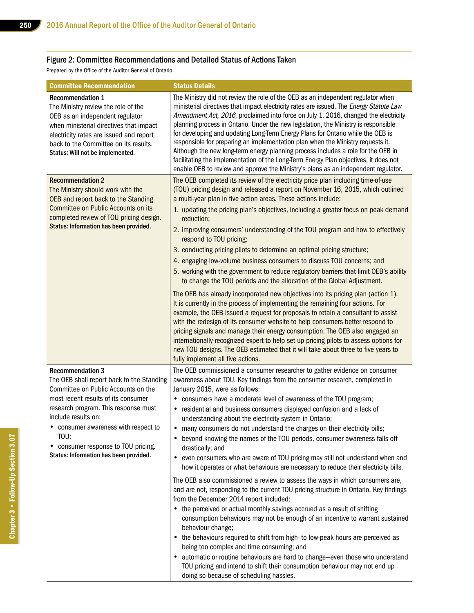## Figure 2: Committee Recommendations and Detailed Status of Actions Taken

Prepared by the Office of the Auditor General of Ontario

| <b>Committee Recommendation</b>                                                                                                                                                                                                                                                                                                                  | <b>Status Details</b>                                                                                                                                                                                                                                                                                                                                                                                                                                                                                                                                                                                                                                                                                                                                                                                                                                                                                                                                                                                                                                                                                                                                                                                                                                                                                                                                                                                                                                                                                                    |
|--------------------------------------------------------------------------------------------------------------------------------------------------------------------------------------------------------------------------------------------------------------------------------------------------------------------------------------------------|--------------------------------------------------------------------------------------------------------------------------------------------------------------------------------------------------------------------------------------------------------------------------------------------------------------------------------------------------------------------------------------------------------------------------------------------------------------------------------------------------------------------------------------------------------------------------------------------------------------------------------------------------------------------------------------------------------------------------------------------------------------------------------------------------------------------------------------------------------------------------------------------------------------------------------------------------------------------------------------------------------------------------------------------------------------------------------------------------------------------------------------------------------------------------------------------------------------------------------------------------------------------------------------------------------------------------------------------------------------------------------------------------------------------------------------------------------------------------------------------------------------------------|
| <b>Recommendation 1</b><br>The Ministry review the role of the<br>OEB as an independent regulator<br>when ministerial directives that impact<br>electricity rates are issued and report<br>back to the Committee on its results.<br>Status: Will not be implemented.                                                                             | The Ministry did not review the role of the OEB as an independent regulator when<br>ministerial directives that impact electricity rates are issued. The Energy Statute Law<br>Amendment Act, 2016, proclaimed into force on July 1, 2016, changed the electricity<br>planning process in Ontario. Under the new legislation, the Ministry is responsible<br>for developing and updating Long-Term Energy Plans for Ontario while the OEB is<br>responsible for preparing an implementation plan when the Ministry requests it.<br>Although the new long-term energy planning process includes a role for the OEB in<br>facilitating the implementation of the Long-Term Energy Plan objectives, it does not<br>enable OEB to review and approve the Ministry's plans as an independent regulator.                                                                                                                                                                                                                                                                                                                                                                                                                                                                                                                                                                                                                                                                                                                       |
| <b>Recommendation 2</b><br>The Ministry should work with the<br>OEB and report back to the Standing<br>Committee on Public Accounts on its<br>completed review of TOU pricing design.<br>Status: Information has been provided.                                                                                                                  | The OEB completed its review of the electricity price plan including time-of-use<br>(TOU) pricing design and released a report on November 16, 2015, which outlined<br>a multi-year plan in five action areas. These actions include:<br>1. updating the pricing plan's objectives, including a greater focus on peak demand<br>reduction;<br>2. improving consumers' understanding of the TOU program and how to effectively<br>respond to TOU pricing;<br>3. conducting pricing pilots to determine an optimal pricing structure;<br>4. engaging low-volume business consumers to discuss TOU concerns; and<br>5. working with the government to reduce regulatory barriers that limit OEB's ability<br>to change the TOU periods and the allocation of the Global Adjustment.<br>The OEB has already incorporated new objectives into its pricing plan (action 1).                                                                                                                                                                                                                                                                                                                                                                                                                                                                                                                                                                                                                                                    |
|                                                                                                                                                                                                                                                                                                                                                  | It is currently in the process of implementing the remaining four actions. For<br>example, the OEB issued a request for proposals to retain a consultant to assist<br>with the redesign of its consumer website to help consumers better respond to<br>pricing signals and manage their energy consumption. The OEB also engaged an<br>internationally-recognized expert to help set up pricing pilots to assess options for<br>new TOU designs. The OEB estimated that it will take about three to five years to<br>fully implement all five actions.                                                                                                                                                                                                                                                                                                                                                                                                                                                                                                                                                                                                                                                                                                                                                                                                                                                                                                                                                                   |
| <b>Recommendation 3</b><br>The OEB shall report back to the Standing<br>Committee on Public Accounts on the<br>most recent results of its consumer<br>research program. This response must<br>include results on:<br>• consumer awareness with respect to<br>TOU;<br>consumer response to TOU pricing.<br>Status: Information has been provided. | The OEB commissioned a consumer researcher to gather evidence on consumer<br>awareness about TOU. Key findings from the consumer research, completed in<br>January 2015, were as follows:<br>consumers have a moderate level of awareness of the TOU program;<br>٠<br>residential and business consumers displayed confusion and a lack of<br>٠<br>understanding about the electricity system in Ontario;<br>many consumers do not understand the charges on their electricity bills;<br>٠<br>beyond knowing the names of the TOU periods, consumer awareness falls off<br>drastically; and<br>even consumers who are aware of TOU pricing may still not understand when and<br>٠<br>how it operates or what behaviours are necessary to reduce their electricity bills.<br>The OEB also commissioned a review to assess the ways in which consumers are,<br>and are not, responding to the current TOU pricing structure in Ontario. Key findings<br>from the December 2014 report included:<br>• the perceived or actual monthly savings accrued as a result of shifting<br>consumption behaviours may not be enough of an incentive to warrant sustained<br>behaviour change;<br>the behaviours required to shift from high- to low-peak hours are perceived as<br>being too complex and time consuming; and<br>automatic or routine behaviours are hard to change-even those who understand<br>TOU pricing and intend to shift their consumption behaviour may not end up<br>doing so because of scheduling hassles. |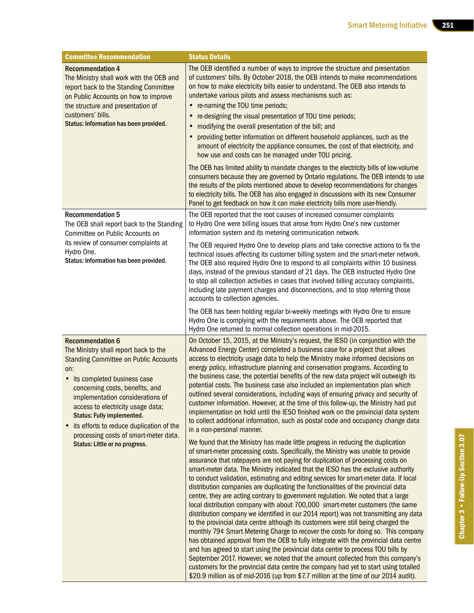| <b>Committee Recommendation</b>                                                                                                                                                                                                                                                                                                                                                                             | <b>Status Details</b>                                                                                                                                                                                                                                                                                                                                                                                                                                                                                                                                                                                                                                                                                                                                                                                                                                                                                                                                                                                                                                                                                                                                                                                                                                                                                                                                                                                              |
|-------------------------------------------------------------------------------------------------------------------------------------------------------------------------------------------------------------------------------------------------------------------------------------------------------------------------------------------------------------------------------------------------------------|--------------------------------------------------------------------------------------------------------------------------------------------------------------------------------------------------------------------------------------------------------------------------------------------------------------------------------------------------------------------------------------------------------------------------------------------------------------------------------------------------------------------------------------------------------------------------------------------------------------------------------------------------------------------------------------------------------------------------------------------------------------------------------------------------------------------------------------------------------------------------------------------------------------------------------------------------------------------------------------------------------------------------------------------------------------------------------------------------------------------------------------------------------------------------------------------------------------------------------------------------------------------------------------------------------------------------------------------------------------------------------------------------------------------|
| <b>Recommendation 4</b><br>The Ministry shall work with the OEB and<br>report back to the Standing Committee<br>on Public Accounts on how to improve<br>the structure and presentation of<br>customers' bills.<br>Status: Information has been provided.                                                                                                                                                    | The OEB identified a number of ways to improve the structure and presentation<br>of customers' bills. By October 2018, the OEB intends to make recommendations<br>on how to make electricity bills easier to understand. The OEB also intends to<br>undertake various pilots and assess mechanisms such as:<br>• re-naming the TOU time periods;<br>re-designing the visual presentation of TOU time periods;<br>modifying the overall presentation of the bill; and<br>٠<br>providing better information on different household appliances, such as the<br>amount of electricity the appliance consumes, the cost of that electricity, and                                                                                                                                                                                                                                                                                                                                                                                                                                                                                                                                                                                                                                                                                                                                                                        |
|                                                                                                                                                                                                                                                                                                                                                                                                             | how use and costs can be managed under TOU pricing.<br>The OEB has limited ability to mandate changes to the electricity bills of low-volume<br>consumers because they are governed by Ontario regulations. The OEB intends to use<br>the results of the pilots mentioned above to develop recommendations for changes<br>to electricity bills. The OEB has also engaged in discussions with its new Consumer<br>Panel to get feedback on how it can make electricity bills more user-friendly.                                                                                                                                                                                                                                                                                                                                                                                                                                                                                                                                                                                                                                                                                                                                                                                                                                                                                                                    |
| <b>Recommendation 5</b><br>The OEB shall report back to the Standing<br>Committee on Public Accounts on                                                                                                                                                                                                                                                                                                     | The OEB reported that the root causes of increased consumer complaints<br>to Hydro One were billing issues that arose from Hydro One's new customer<br>information system and its metering communication network.                                                                                                                                                                                                                                                                                                                                                                                                                                                                                                                                                                                                                                                                                                                                                                                                                                                                                                                                                                                                                                                                                                                                                                                                  |
| its review of consumer complaints at<br>Hydro One.<br>Status: Information has been provided.                                                                                                                                                                                                                                                                                                                | The OEB required Hydro One to develop plans and take corrective actions to fix the<br>technical issues affecting its customer billing system and the smart-meter network.<br>The OEB also required Hydro One to respond to all complaints within 10 business<br>days, instead of the previous standard of 21 days. The OEB instructed Hydro One<br>to stop all collection activities in cases that involved billing accuracy complaints,<br>including late payment charges and disconnections, and to stop referring those<br>accounts to collection agencies.                                                                                                                                                                                                                                                                                                                                                                                                                                                                                                                                                                                                                                                                                                                                                                                                                                                     |
|                                                                                                                                                                                                                                                                                                                                                                                                             | The OEB has been holding regular bi-weekly meetings with Hydro One to ensure<br>Hydro One is complying with the requirements above. The OEB reported that<br>Hydro One returned to normal collection operations in mid-2015.                                                                                                                                                                                                                                                                                                                                                                                                                                                                                                                                                                                                                                                                                                                                                                                                                                                                                                                                                                                                                                                                                                                                                                                       |
| <b>Recommendation 6</b><br>The Ministry shall report back to the<br><b>Standing Committee on Public Accounts</b><br>on:<br>• its completed business case<br>concerning costs, benefits, and<br>implementation considerations of<br>access to electricity usage data;<br><b>Status: Fully implemented.</b><br>its efforts to reduce duplication of the<br>$\bullet$<br>processing costs of smart-meter data. | On October 15, 2015, at the Ministry's request, the IESO (in conjunction with the<br>Advanced Energy Center) completed a business case for a project that allows<br>access to electricity usage data to help the Ministry make informed decisions on<br>energy policy, infrastructure planning and conservation programs. According to<br>the business case, the potential benefits of the new data project will outweigh its<br>potential costs. The business case also included an implementation plan which<br>outlined several considerations, including ways of ensuring privacy and security of<br>customer information. However, at the time of this follow-up, the Ministry had put<br>implementation on hold until the IESO finished work on the provincial data system<br>to collect additional information, such as postal code and occupancy change data<br>in a non-personal manner.                                                                                                                                                                                                                                                                                                                                                                                                                                                                                                                  |
| Status: Little or no progress.                                                                                                                                                                                                                                                                                                                                                                              | We found that the Ministry has made little progress in reducing the duplication<br>of smart-meter processing costs. Specifically, the Ministry was unable to provide<br>assurance that ratepayers are not paying for duplication of processing costs on<br>smart-meter data. The Ministry indicated that the IESO has the exclusive authority<br>to conduct validation, estimating and editing services for smart-meter data. If local<br>distribution companies are duplicating the functionalities of the provincial data<br>centre, they are acting contrary to government regulation. We noted that a large<br>local distribution company with about 700,000 smart-meter customers (the same<br>distribution company we identified in our 2014 report) was not transmitting any data<br>to the provincial data centre although its customers were still being charged the<br>monthly 79¢ Smart Metering Charge to recover the costs for doing so. This company<br>has obtained approval from the OEB to fully integrate with the provincial data centre<br>and has agreed to start using the provincial data centre to process TOU bills by<br>September 2017. However, we noted that the amount collected from this company's<br>customers for the provincial data centre the company had yet to start using totalled<br>\$20.9 million as of mid-2016 (up from \$7.7 million at the time of our 2014 audit). |